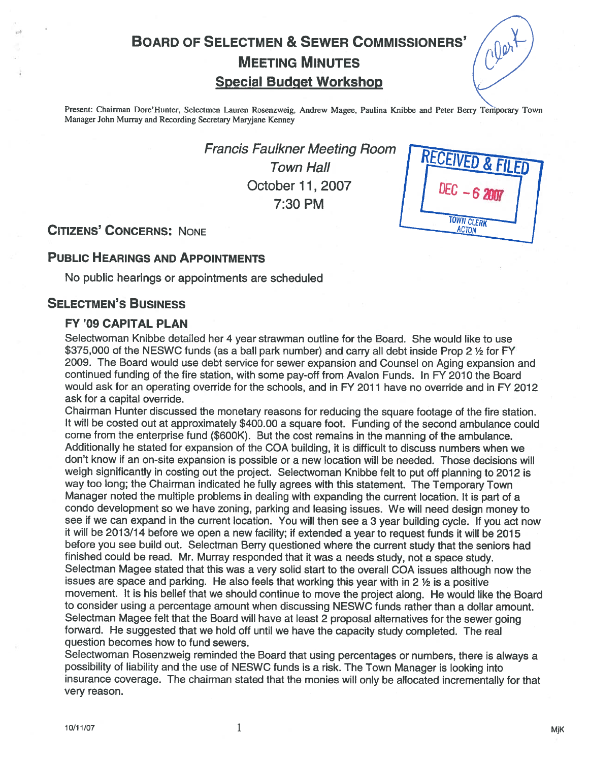# BOARD OF SELECTMEN & SEWER COMMISSIONERS' MEETING MINUTES<br>Special Budget Workshop



**TOWN CLERK** 

Present: Chairman Dore'Hunter, Selectmen Lauren Rosenzweig, Andrew Magee, Paulina Knibbe and Peter Berry Temporary Town Manager John Murray and Recording Secretary Maryjane Kenney

> Francis Faulkner Meeting Room<br>Town Hall October 11,2007 7:30 PM

CITIZENS' CONCERNS: NONE ACTOR

## PUBLIC HEARINGS AND APPOINTMENTS

No public hearings or appointments are scheduled

## SELECTMEN'S BUSINESS

## FY '09 CAPITAL PLAN

Selectwoman Knibbe detailed her 4 year strawman outline for the Board. She would like to use \$375,000 of the NESWC funds (as a ball park number) and carry all debt inside Prop 2 1/2 for FY 2009. The Board would use debt service for sewer expansion and Counsel on Aging expansion and continued funding of the fire station, with some pay-off from Avalon Funds. In FY 2010 the Board would ask for an operating override for the schools, and in FY 2011 have no override and in FY 2012 ask for <sup>a</sup> capital override.

Chairman Hunter discussed the monetary reasons for reducing the square footage of the fire station. It will be costed out at approximately \$400.00 <sup>a</sup> square foot. Funding of the second ambulance could come from the enterprise fund (\$600K). But the cost remains in the manning of the ambulance. Additionally he stated for expansion of the COA building, it is difficult to discuss numbers when we don't know if an on-site expansion is possible or <sup>a</sup> new location will be needed. Those decisions will weigh significantly in costing out the project. Selectwoman Knibbe felt to pu<sup>t</sup> off <sup>p</sup>lanning to <sup>2012</sup> is way too long; the Chairman indicated he fully agrees with this statement. The Temporary Town Manager noted the multiple problems in dealing with expanding the current location. It is par<sup>t</sup> of <sup>a</sup> condo development so we have zoning, parking and leasing issues. We will need design money to see if we can expan<sup>d</sup> in the current location. You will then see <sup>a</sup> <sup>3</sup> year building cycle. If you act now it will be 2013/14 before we open <sup>a</sup> new facility; if extended <sup>a</sup> year to reques<sup>t</sup> funds it will be <sup>2015</sup> before you see build out. Selectman Berry questioned where the current study that the seniors had finished could be read. Mr. Murray responded that it was <sup>a</sup> needs study, not <sup>a</sup> space study. Selectman Magee stated that this was <sup>a</sup> very solid start to the overall COA issues although now the issues are space and parking. He also feels that working this year with in <sup>2</sup> <sup>½</sup> is <sup>a</sup> positive movement. It is his belief that we should continue to move the project along. He would like the Board to consider using <sup>a</sup> percentage amount when discussing NESWC funds rather than <sup>a</sup> dollar amount. Selectman Magee felt that the Board will have at least <sup>2</sup> proposa<sup>l</sup> alternatives for the sewer going forward. He suggested that we hold off until we have the capacity study completed. The real question becomes how to fund sewers.

Selectwoman Rosenzweig reminded the Board that using percentages or numbers, there is always <sup>a</sup> possibility of liability and the use of NESWC funds is <sup>a</sup> risk. The Town Manager is looking into insurance coverage. The chairman stated that the monies will only be allocated incrementally for that very reason.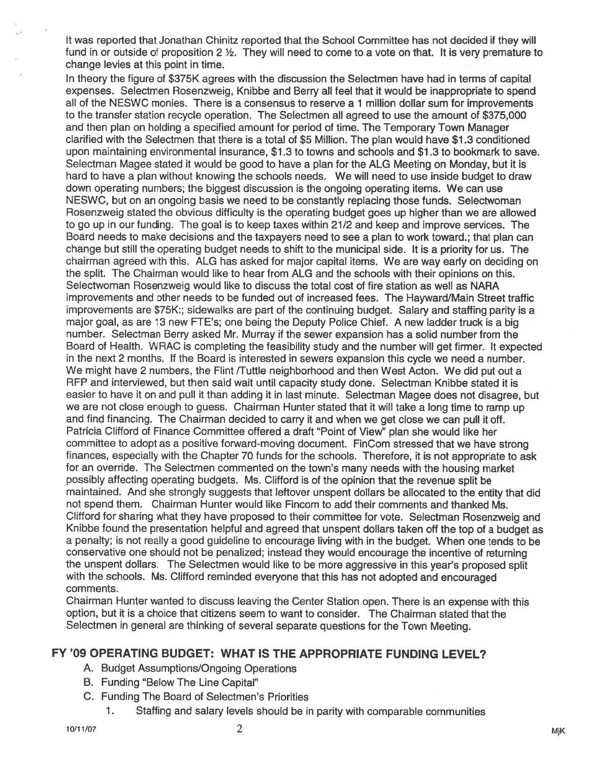It was reported that Jonathan Chinitz reported that the School Committee has not decided if they will fund in or outside of proposition 2 ½. They will need to come to <sup>a</sup> vote on that. It is very premature to change levies at this point in time.

In theory the figure of \$375K agrees with the discussion the Selectmen have had in terms of capital expenses. Selectmen Rosenzweig, Knibbe and Berry all feel that it would be inappropriate to spend all of the NESWC monies. There is a consensus to reserve a 1 million dollar sum for improvements to the transfer station recycle operation. The Selectmen all agreed to use the amount of \$375,000 and then plan on holding a specified amount for period of time. The Temporary Town Manager clarified with the Selectmen that there is <sup>a</sup> total of \$5 Million. The plan would have \$1.3 conditioned upon maintaining environmental insurance, \$1.3 to towns and schools and \$1.3 to bookmark to save. Selectman Magee stated it would be good to have <sup>a</sup> plan for the ALG Meeting on Monday, but it is hard to have <sup>a</sup> plan without knowing the schools needs. We will need to use inside budget to draw down operating numbers; the biggest discussion is the ongoing operating items. We can use NESWC, but on an ongoing basis we need to be constantly replacing those funds. Selectwoman Rosenzweig stated the obvious difficulty is the operating budget goes up higher than we are allowed to go up in our funding. The goal is to keep taxes within 21/2 and keep and improve services. The Board needs to make decisions and the taxpayers need to see <sup>a</sup> plan to work toward.; that plan can change but still the operating budget needs to shift to the municipal side. It is <sup>a</sup> priority for us. The chairman agreed with this. ALG has asked for major capital items. We are way early on deciding on the split. The Chairman would like to hear from ALG and the schools with their opinions on this. Selectwoman Rosenzweig would like to discuss the total cost of fire station as well as NARA improvements and other needs to be funded out of increased fees. The Hayward/Main Street traffic improvements are \$75K:; sidewalks are par<sup>t</sup> of the continuing budget. Salary and staffing parity is a major goal, as are 13 new FTE's; one being the Deputy Police Chief. A new ladder truck is <sup>a</sup> big number. Selectman Berry asked Mr. Murray if the sewer expansion has <sup>a</sup> solid number from the Board of Health. WRAC is completing the feasibility study and the number will ge<sup>t</sup> firmer. It expected in the next <sup>2</sup> months. If the Board is interested in sewers expansion this cycle we need <sup>a</sup> number. We might have 2 numbers, the Flint /Tuttle neighborhood and then West Acton. We did put out a RFP and interviewed, but then said wait until capacity study done. Selectman Knibbe stated it is easier to have it on and pull it than adding it in last minute. Selectman Magee does not disagree, but we are not close enough to guess. Chairman Hunter stated that it will take <sup>a</sup> long time to ramp up and find financing. The Chairman decided to carry it and when we ge<sup>t</sup> close we can pull it off. Patricia Clifford of Finance Committee offered <sup>a</sup> draft "Point of View" plan she would like her committee to adopt as <sup>a</sup> positive forward-moving document. FinCom stressed that we have strong finances, especially with the Chapter 70 funds for the schools. Therefore, it is not appropriate to ask for an override. The Selectmen commented on the town's many needs with the housing market possibly affecting operating budgets. Ms. Clifford is of the opinion that the revenue split be maintained. And she strongly suggests that leftover unspen<sup>t</sup> dollars be allocated to the entity that did not spend them. Chairman Hunter would like Fincom to add their comments and thanked Ms. Clifford for sharing what they have propose<sup>d</sup> to their committee for vote. Selectman Rosenzweig and Knibbe found the presentation helpful and agree<sup>d</sup> that unspen<sup>t</sup> dollars taken off the top of <sup>a</sup> budget as a penalty; is not really a good guideline to encourage living with in the budget. When one tends to be conservative one should not be penalized; instead they would encourage the incentive of returning the unspen<sup>t</sup> dollars. The Selectmen would like to be more aggressive in this year's propose<sup>d</sup> split with the schools. Ms. Clifford reminded everyone that this has not adopted and encourage<sup>d</sup> comments.

Chairman Hunter wanted to discuss leaving the Center Station open. There is an expense with this option, but it is <sup>a</sup> choice that citizens seem to want to consider. The Chairman stated that the Selectmen in genera<sup>l</sup> are thinking of several separate questions for the Town Meeting.

## FY '09 OPERATING BUDGET: WHAT IS THE APPROPRIATE FUNDING LEVEL?

- A. Budget Assumptions/Ongoing Operations
- B. Funding "Below The Line Capital"
- C. Funding The Board of Selectmen's Priorities
	- 1. Staffing and salary levels should be in parity with comparable communities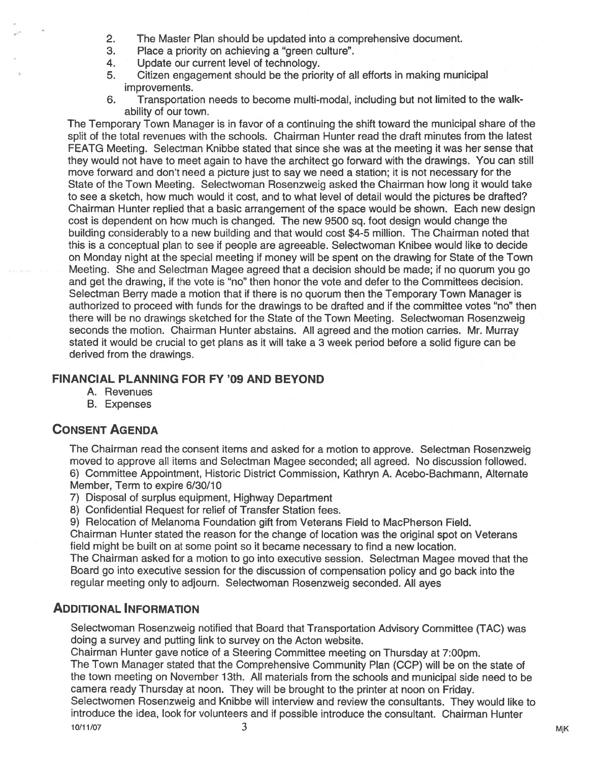- 2. The Master Plan should be updated into <sup>a</sup> comprehensive document.
- 3. Place <sup>a</sup> priority on achieving <sup>a</sup> "green culture".
- 4. Update our current level of technology.
- 5. Citizen engagemen<sup>t</sup> should be the priority of all efforts in making municipal improvements.
- 6. Transportation needs to become multi-modal, including but not limited to the walkability of our town.

The Temporary Town Manager is in favor of <sup>a</sup> continuing the shift toward the municipal share of the split of the total revenues with the schools. Chairman Hunter read the draft minutes from the latest FEATG Meeting. Selectman Knibbe stated that since she was at the meeting it was her sense that they would not have to meet again to have the architect go forward with the drawings. You can still move forward and don't need <sup>a</sup> picture just to say we need <sup>a</sup> station; it is not necessary for the State of the Town Meeting. Selectwoman Rosenzweig asked the Chairman how long it would take to see <sup>a</sup> sketch, how much would it cost, and to what level of detail would the pictures be drafted? Chairman Hunter replied that <sup>a</sup> basic arrangemen<sup>t</sup> of the space would be shown. Each new design cost is dependent on how much is changed. The new 9500 sq. foot design would change the building considerably to <sup>a</sup> new building and that would cost \$4-5 million. The Chairman noted that this is <sup>a</sup> conceptual plan to see if people are agreeable. Selectwoman Knibee would like to decide on Monday night at the special meeting if money will be spen<sup>t</sup> on the drawing for State of the Town Meeting. She and Selectman Magee agreed that <sup>a</sup> decision should be made; if no quorum you go and ge<sup>t</sup> the drawing, if the vote is "no" then honor the vote and defer to the Committees decision. Selectman Berry made <sup>a</sup> motion that if there is no quorum then the Temporary Town Manager is authorized to proceed with funds for the drawings to be drafted and if the committee votes "no" then there will be no drawings sketched for the State of the Town Meeting. Selectwoman Rosenzweig seconds the motion. Chairman Hunter abstains. All agreed and the motion carries. Mr. Murray stated it would be crucial to ge<sup>t</sup> plans as it will take <sup>a</sup> 3 week period before <sup>a</sup> solid figure can be derived from the drawings.

#### FINANCIAL PLANNING FOR FY '09 AND BEYOND

- A. Revenues
- B. Expenses

## CONSENT AGENDA

The Chairman read the consent items and asked for <sup>a</sup> motion to approve. Selectman Rosenzweig moved to approve all items and Selectman Magee seconded; all agreed. No discussion followed. 6) Committee Appointment, Historic District Commission, Kathryn A. Acebo-Bachmann, Alternate Member, Term to expire 6/30/10

- 7) Disposal of surplus equipment, Highway Department
- 8) Confidential Request for relief of Transfer Station fees.

9) Relocation of Melanoma Foundation gift from Veterans Field to MacPherson Field.

Chairman Hunter stated the reason for the change of location was the original spo<sup>t</sup> on Veterans field might be built on at some point so it became necessary to find <sup>a</sup> new location.

The Chairman asked for <sup>a</sup> motion to go into executive session. Selectman Magee moved that the Board go into executive session for the discussion of compensation policy and go back into the regular meeting only to adjourn. Selectwoman Rosenzweig seconded. All ayes

## ADDITIONAL INFORMATION

Selectwoman Rosenzweig notified that Board that Transportation Advisory Committee (TAC) was doing <sup>a</sup> survey and putting link to survey on the Acton website.

Chairman Hunter gave notice of <sup>a</sup> Steering Committee meeting on Thursday at 7:00pm. The Town Manager stated that the Comprehensive Community Plan (CCP) will be on the state of the town meeting on November 13th. All materials from the schools and municipal side need to be camera ready Thursday at noon. They will be brought to the printer at noon on Friday.

Selectwomen Rosenzweig and Knibbe will interview and review the consultants. They would like to introduce the idea, look for volunteers and if possible introduce the consultant. Chairman Hunter